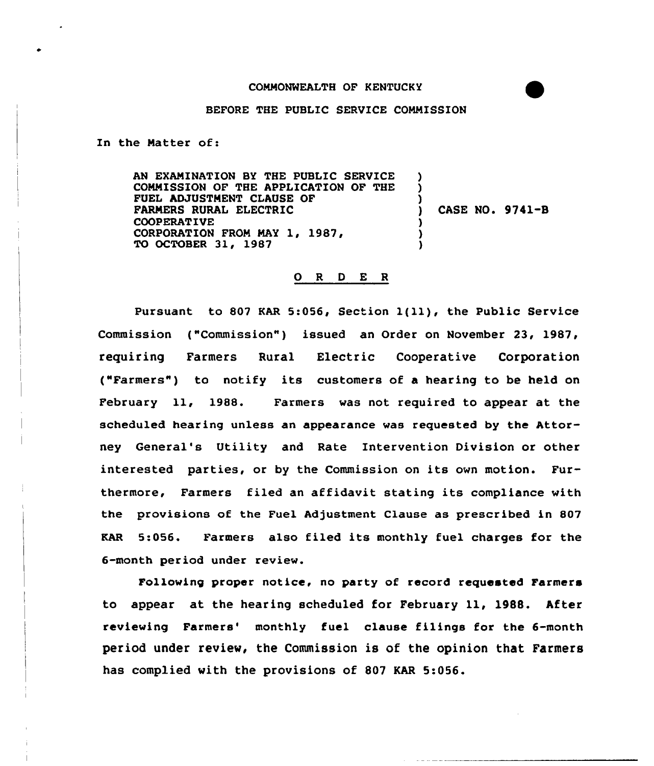## BEFORE THE PUBLIC SERVICE COMMISSION

In the Natter of:

AN EXAMINATION BY THE PUBLIC SERVICE COMMISSION OF THE APPLICATION OF THE FUEL hDJUSTNENT CLAUSE OF FARMERS RURAL ELECTRIC COOPERATIVE CORPORATION FROM MAY 1, 1987, TO OCTOBER 31, 1987 ) ) ) ) CASE NO. 9741-B ) ) )

## 0 <sup>R</sup> 0 E <sup>R</sup>

Pursuant to <sup>807</sup> KAR 5:056, Section 1{ll), the Public Service Commission ("Commission") issued an Order on November 23, 1987, requiring Farmers Rural Electric Cooperative Corporation ("Farmers" ) to notify its customers of <sup>a</sup> hearing to be held on February ll, 1988. Farmers was not required to appear at the scheduled hearing unless an appearance was requested by the Attorney General's Utility and Rate Intervention Division or other interested parties, or by the Commission on its own motion. Furthermore, Farmers filed an affidavit stating its compliance with the provisions of the Fuel Adjustment Clause as prescribed in 807 KAR 5:056. Farmers also filed its monthly fuel charges for the 6-month period under review.

Following proper notice, no party of record requested Farmers to appear at the hearing scheduled for February ll, 19BB. After reviewing Farmers' monthly fuel clause filings for the 6-month period under review, the Commission is of the opinion that Farmers has complied with the provisions of 807 KAR 5:056.